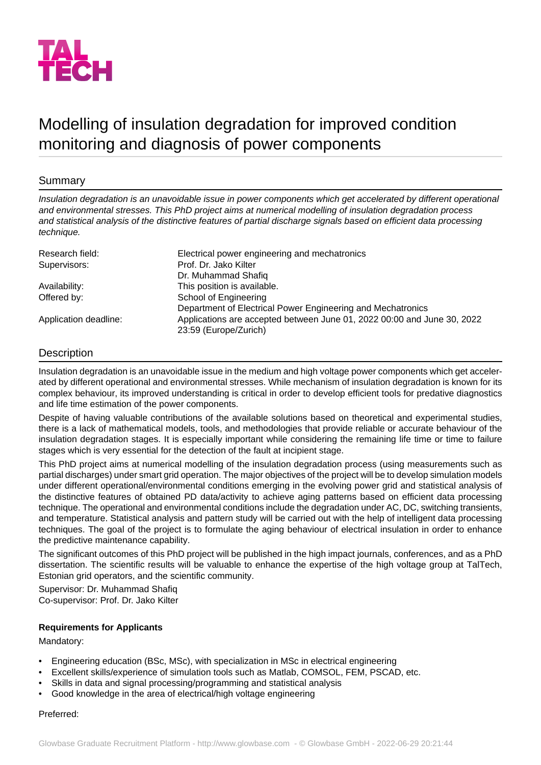

# Modelling of insulation degradation for improved condition monitoring and diagnosis of power components

# Summary

*Insulation degradation is an unavoidable issue in power components which get accelerated by different operational and environmental stresses. This PhD project aims at numerical modelling of insulation degradation process and statistical analysis of the distinctive features of partial discharge signals based on efficient data processing technique.*

| Research field:       | Electrical power engineering and mechatronics                           |
|-----------------------|-------------------------------------------------------------------------|
| Supervisors:          | Prof. Dr. Jako Kilter                                                   |
|                       | Dr. Muhammad Shafiq                                                     |
| Availability:         | This position is available.                                             |
| Offered by:           | School of Engineering                                                   |
|                       | Department of Electrical Power Engineering and Mechatronics             |
| Application deadline: | Applications are accepted between June 01, 2022 00:00 and June 30, 2022 |
|                       | 23:59 (Europe/Zurich)                                                   |

## **Description**

Insulation degradation is an unavoidable issue in the medium and high voltage power components which get accelerated by different operational and environmental stresses. While mechanism of insulation degradation is known for its complex behaviour, its improved understanding is critical in order to develop efficient tools for predative diagnostics and life time estimation of the power components.

Despite of having valuable contributions of the available solutions based on theoretical and experimental studies, there is a lack of mathematical models, tools, and methodologies that provide reliable or accurate behaviour of the insulation degradation stages. It is especially important while considering the remaining life time or time to failure stages which is very essential for the detection of the fault at incipient stage.

This PhD project aims at numerical modelling of the insulation degradation process (using measurements such as partial discharges) under smart grid operation. The major objectives of the project will be to develop simulation models under different operational/environmental conditions emerging in the evolving power grid and statistical analysis of the distinctive features of obtained PD data/activity to achieve aging patterns based on efficient data processing technique. The operational and environmental conditions include the degradation under AC, DC, switching transients, and temperature. Statistical analysis and pattern study will be carried out with the help of intelligent data processing techniques. The goal of the project is to formulate the aging behaviour of electrical insulation in order to enhance the predictive maintenance capability.

The significant outcomes of this PhD project will be published in the high impact journals, conferences, and as a PhD dissertation. The scientific results will be valuable to enhance the expertise of the high voltage group at TalTech, Estonian grid operators, and the scientific community.

Supervisor: Dr. Muhammad Shafiq Co-supervisor: Prof. Dr. Jako Kilter

## **Requirements for Applicants**

Mandatory:

- Engineering education (BSc, MSc), with specialization in MSc in electrical engineering
- Excellent skills/experience of simulation tools such as Matlab, COMSOL, FEM, PSCAD, etc.
- Skills in data and signal processing/programming and statistical analysis
- Good knowledge in the area of electrical/high voltage engineering

#### Preferred: